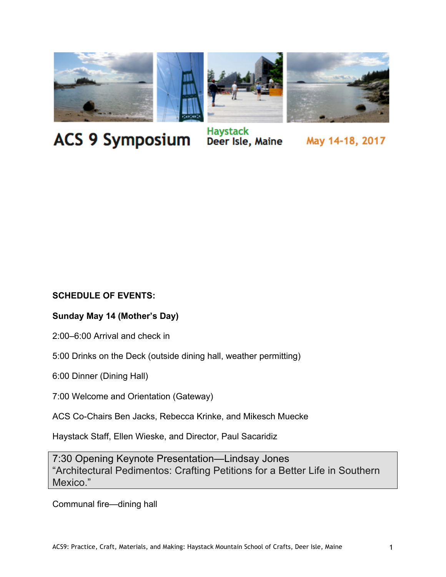

# **ACS 9 Symposium**

## **Haystack** Deer Isle, Maine

May 14-18, 2017

### **SCHEDULE OF EVENTS:**

#### **Sunday May 14 (Mother's Day)**

2:00–6:00 Arrival and check in

5:00 Drinks on the Deck (outside dining hall, weather permitting)

6:00 Dinner (Dining Hall)

7:00 Welcome and Orientation (Gateway)

ACS Co-Chairs Ben Jacks, Rebecca Krinke, and Mikesch Muecke

Haystack Staff, Ellen Wieske, and Director, Paul Sacaridiz

7:30 Opening Keynote Presentation—Lindsay Jones "Architectural Pedimentos: Crafting Petitions for a Better Life in Southern Mexico."

Communal fire—dining hall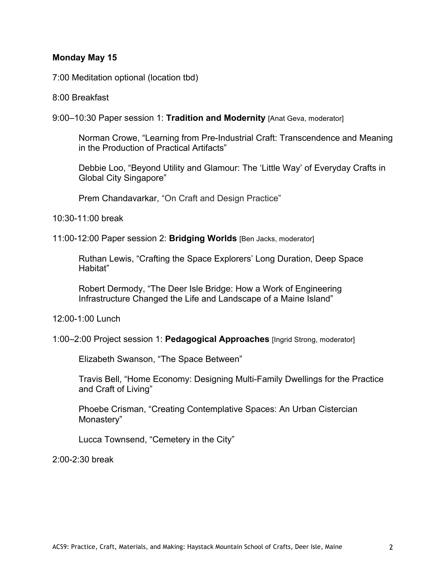#### **Monday May 15**

7:00 Meditation optional (location tbd)

#### 8:00 Breakfast

9:00–10:30 Paper session 1: **Tradition and Modernity** [Anat Geva, moderator]

Norman Crowe, "Learning from Pre-Industrial Craft: Transcendence and Meaning in the Production of Practical Artifacts"

Debbie Loo, "Beyond Utility and Glamour: The 'Little Way' of Everyday Crafts in Global City Singapore"

Prem Chandavarkar, "On Craft and Design Practice"

10:30-11:00 break

11:00-12:00 Paper session 2: **Bridging Worlds** [Ben Jacks, moderator]

Ruthan Lewis, "Crafting the Space Explorers' Long Duration, Deep Space Habitat"

Robert Dermody, "The Deer Isle Bridge: How a Work of Engineering Infrastructure Changed the Life and Landscape of a Maine Island"

12:00-1:00 Lunch

1:00–2:00 Project session 1: **Pedagogical Approaches** [Ingrid Strong, moderator]

Elizabeth Swanson, "The Space Between"

Travis Bell, "Home Economy: Designing Multi-Family Dwellings for the Practice and Craft of Living"

Phoebe Crisman, "Creating Contemplative Spaces: An Urban Cistercian Monastery"

Lucca Townsend, "Cemetery in the City"

2:00-2:30 break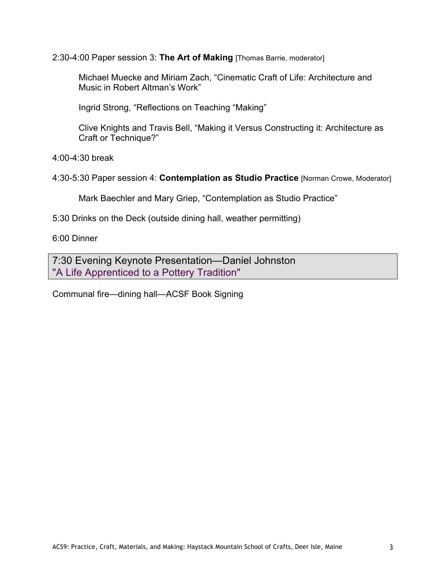2:30-4:00 Paper session 3: **The Art of Making** [Thomas Barrie, moderator]

Michael Muecke and Miriam Zach, "Cinematic Craft of Life: Architecture and Music in Robert Altman's Work"

Ingrid Strong, "Reflections on Teaching "Making"

Clive Knights and Travis Bell, "Making it Versus Constructing it: Architecture as Craft or Technique?"

4:00-4:30 break

4:30-5:30 Paper session 4: **Contemplation as Studio Practice** [Norman Crowe, Moderator]

Mark Baechler and Mary Griep, "Contemplation as Studio Practice"

5:30 Drinks on the Deck (outside dining hall, weather permitting)

6:00 Dinner

7:30 Evening Keynote Presentation—Daniel Johnston "A Life Apprenticed to a Pottery Tradition"

Communal fire—dining hall—ACSF Book Signing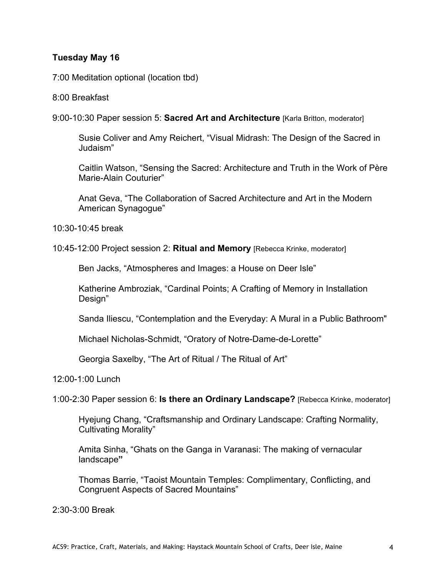#### **Tuesday May 16**

7:00 Meditation optional (location tbd)

#### 8:00 Breakfast

9:00-10:30 Paper session 5: **Sacred Art and Architecture** [Karla Britton, moderator]

Susie Coliver and Amy Reichert, "Visual Midrash: The Design of the Sacred in Judaism"

Caitlin Watson, "Sensing the Sacred: Architecture and Truth in the Work of Père Marie-Alain Couturier"

Anat Geva, "The Collaboration of Sacred Architecture and Art in the Modern American Synagogue"

10:30-10:45 break

10:45-12:00 Project session 2: **Ritual and Memory** [Rebecca Krinke, moderator]

Ben Jacks, "Atmospheres and Images: a House on Deer Isle"

Katherine Ambroziak, "Cardinal Points; A Crafting of Memory in Installation Design"

Sanda Iliescu, "Contemplation and the Everyday: A Mural in a Public Bathroom"

Michael Nicholas-Schmidt, "Oratory of Notre-Dame-de-Lorette"

Georgia Saxelby, "The Art of Ritual / The Ritual of Art"

12:00-1:00 Lunch

1:00-2:30 Paper session 6: **Is there an Ordinary Landscape?** [Rebecca Krinke, moderator]

Hyejung Chang, "Craftsmanship and Ordinary Landscape: Crafting Normality, Cultivating Morality"

Amita Sinha, "Ghats on the Ganga in Varanasi: The making of vernacular landscape**"**

Thomas Barrie, "Taoist Mountain Temples: Complimentary, Conflicting, and Congruent Aspects of Sacred Mountains"

2:30-3:00 Break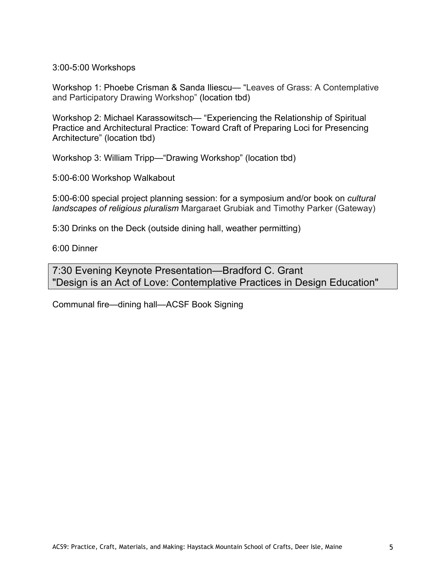3:00-5:00 Workshops

Workshop 1: Phoebe Crisman & Sanda Iliescu— "Leaves of Grass: A Contemplative and Participatory Drawing Workshop" (location tbd)

Workshop 2: Michael Karassowitsch— "Experiencing the Relationship of Spiritual Practice and Architectural Practice: Toward Craft of Preparing Loci for Presencing Architecture" (location tbd)

Workshop 3: William Tripp—"Drawing Workshop" (location tbd)

5:00-6:00 Workshop Walkabout

5:00-6:00 special project planning session: for a symposium and/or book on *cultural landscapes of religious pluralism* Margaraet Grubiak and Timothy Parker (Gateway)

5:30 Drinks on the Deck (outside dining hall, weather permitting)

6:00 Dinner

7:30 Evening Keynote Presentation—Bradford C. Grant "Design is an Act of Love: Contemplative Practices in Design Education"

Communal fire—dining hall—ACSF Book Signing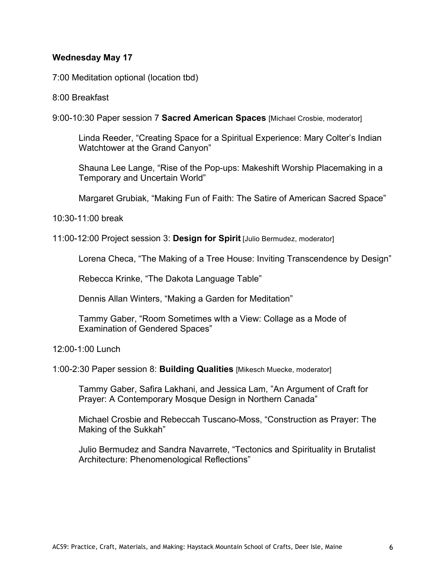#### **Wednesday May 17**

7:00 Meditation optional (location tbd)

#### 8:00 Breakfast

9:00-10:30 Paper session 7 **Sacred American Spaces** [Michael Crosbie, moderator]

Linda Reeder, "Creating Space for a Spiritual Experience: Mary Colter's Indian Watchtower at the Grand Canyon"

Shauna Lee Lange, "Rise of the Pop-ups: Makeshift Worship Placemaking in a Temporary and Uncertain World"

Margaret Grubiak, "Making Fun of Faith: The Satire of American Sacred Space"

10:30-11:00 break

11:00-12:00 Project session 3: **Design for Spirit** [Julio Bermudez, moderator]

Lorena Checa, "The Making of a Tree House: Inviting Transcendence by Design"

Rebecca Krinke, "The Dakota Language Table"

Dennis Allan Winters, "Making a Garden for Meditation"

Tammy Gaber, "Room Sometimes wIth a View: Collage as a Mode of Examination of Gendered Spaces"

12:00-1:00 Lunch

1:00-2:30 Paper session 8: **Building Qualities** [Mikesch Muecke, moderator]

Tammy Gaber, Safira Lakhani, and Jessica Lam, "An Argument of Craft for Prayer: A Contemporary Mosque Design in Northern Canada"

Michael Crosbie and Rebeccah Tuscano-Moss, "Construction as Prayer: The Making of the Sukkah"

Julio Bermudez and Sandra Navarrete, "Tectonics and Spirituality in Brutalist Architecture: Phenomenological Reflections"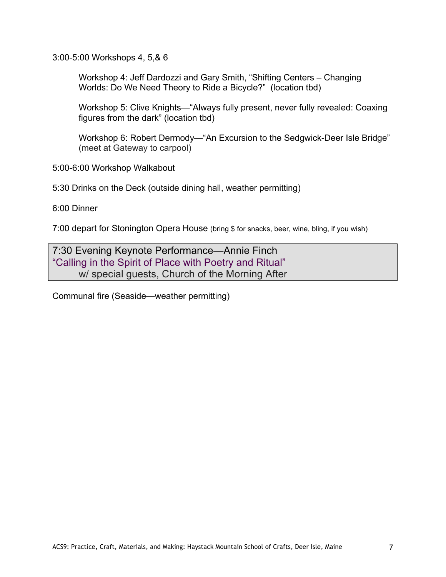3:00-5:00 Workshops 4, 5,& 6

Workshop 4: Jeff Dardozzi and Gary Smith, "Shifting Centers – Changing Worlds: Do We Need Theory to Ride a Bicycle?" (location tbd)

Workshop 5: Clive Knights—"Always fully present, never fully revealed: Coaxing figures from the dark" (location tbd)

Workshop 6: Robert Dermody—"An Excursion to the Sedgwick-Deer Isle Bridge" (meet at Gateway to carpool)

5:00-6:00 Workshop Walkabout

5:30 Drinks on the Deck (outside dining hall, weather permitting)

6:00 Dinner

7:00 depart for Stonington Opera House (bring \$ for snacks, beer, wine, bling, if you wish)

7:30 Evening Keynote Performance—Annie Finch "Calling in the Spirit of Place with Poetry and Ritual" w/ special guests, Church of the Morning After

Communal fire (Seaside—weather permitting)